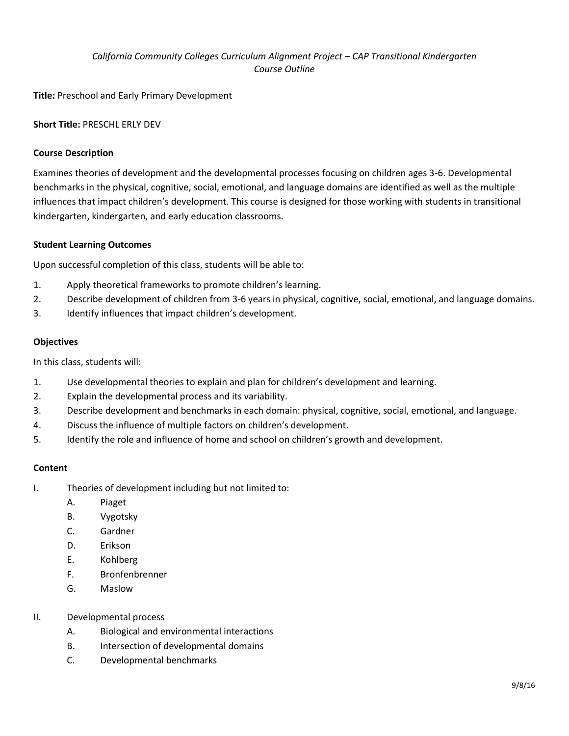## *California Community Colleges Curriculum Alignment Project – CAP Transitional Kindergarten Course Outline*

**Title:** Preschool and Early Primary Development

### **Short Title:** PRESCHL ERLY DEV

#### **Course Description**

Examines theories of development and the developmental processes focusing on children ages 3-6. Developmental benchmarks in the physical, cognitive, social, emotional, and language domains are identified as well as the multiple influences that impact children's development. This course is designed for those working with students in transitional kindergarten, kindergarten, and early education classrooms.

#### **Student Learning Outcomes**

Upon successful completion of this class, students will be able to:

- 1. Apply theoretical frameworks to promote children's learning.
- 2. Describe development of children from 3-6 years in physical, cognitive, social, emotional, and language domains.
- 3. Identify influences that impact children's development.

#### **Objectives**

In this class, students will:

- 1. Use developmental theories to explain and plan for children's development and learning.
- 2. Explain the developmental process and its variability.
- 3. Describe development and benchmarks in each domain: physical, cognitive, social, emotional, and language.
- 4. Discuss the influence of multiple factors on children's development.
- 5. Identify the role and influence of home and school on children's growth and development.

#### **Content**

- I. Theories of development including but not limited to:
	- A. Piaget
	- B. Vygotsky
	- C. Gardner
	- D. Erikson
	- E. Kohlberg
	- F. Bronfenbrenner
	- G. Maslow
- II. Developmental process
	- A. Biological and environmental interactions
	- B. Intersection of developmental domains
	- C. Developmental benchmarks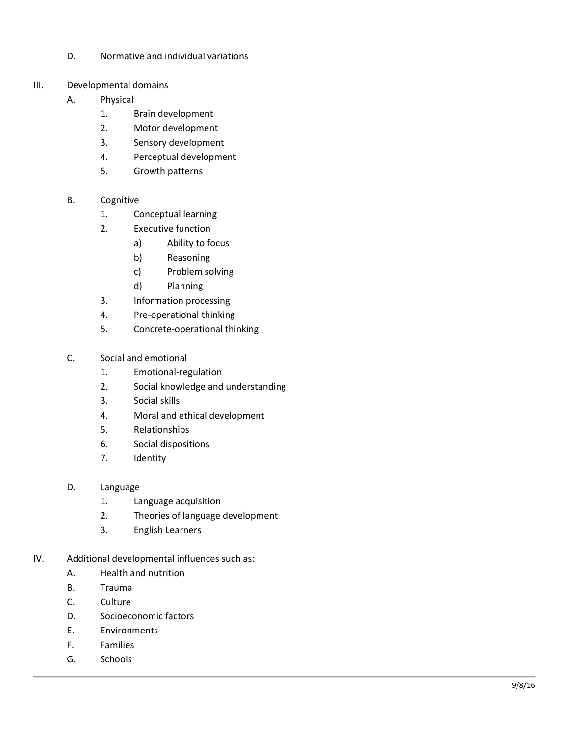- D. Normative and individual variations
- III. Developmental domains
	- A. Physical
		- 1. Brain development
		- 2. Motor development
		- 3. Sensory development
		- 4. Perceptual development
		- 5. Growth patterns
	- B. Cognitive
		- 1. Conceptual learning
		- 2. Executive function
			- a) Ability to focus
			- b) Reasoning
			- c) Problem solving
			- d) Planning
		- 3. Information processing
		- 4. Pre -operational thinking
		- 5. Concrete - operational thinking
	- C. Social and emotional
		- 1. Emotional -regulation
		- 2. Social knowledge and understanding
		- 3. Social skills
		- 4. Moral and ethical development
		- 5. Relationships
		- 6. Social dispositions
		- 7. Identity
	- D. Language
		- 1. Language acquisition
		- 2. Theories of language development
		- 3. English Learners
- IV. Additional developmental influences such as:
	- A. Health and nutrition
	- B. Trauma
	- C. Culture
	- D. Socioeconomic factors
	- E. Environment s
	- F. Families
	- G. Schools